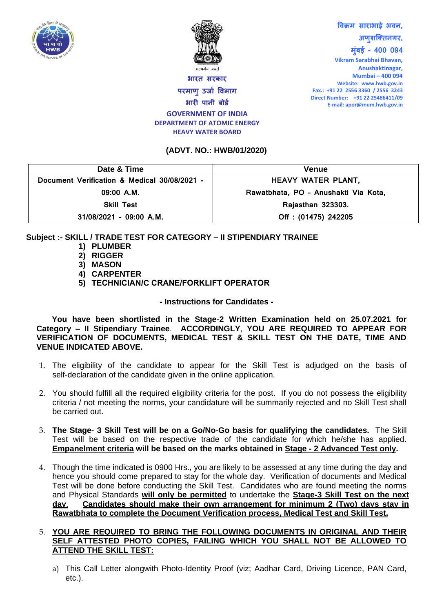



## **भारि सरकार परमाणु उर्ाा विभाग भारी पानी बोर्ा GOVERNMENT OF INDIA**

# **विक्रम साराभाई भिन, अणुशक्तिनगर, मुुंबई – 400 094**

**DEPARTMENT OF ATOMIC ENERGY HEAVY WATER BOARD**

#### **(ADVT. NO.: HWB/01/2020)**

**Vikram Sarabhai Bhavan, Anushaktinagar, Mumbai – 400 094 Website: www.hwb.gov.in Fax.: +91 22 2556 3360 / 2556 3243 Direct Number: +91 22 25486411/09 E-mail: apor@mum.hwb.gov.in**

| Date & Time                                  | <b>Venue</b>                         |
|----------------------------------------------|--------------------------------------|
| Document Verification & Medical 30/08/2021 - | HEAVY WATER PLANT,                   |
| $09:00$ A.M.                                 | Rawatbhata, PO - Anushakti Via Kota, |
| <b>Skill Test</b>                            | Rajasthan 323303.                    |
| 31/08/2021 - 09:00 A.M.                      | Off: (01475) 242205                  |

### **Subject :- SKILL / TRADE TEST FOR CATEGORY – II STIPENDIARY TRAINEE**

- **1) PLUMBER**
- **2) RIGGER**
- **3) MASON**
- **4) CARPENTER**
- **5) TECHNICIAN/C CRANE/FORKLIFT OPERATOR**

**- Instructions for Candidates -**

**You have been shortlisted in the Stage-2 Written Examination held on 25.07.2021 for Category – II Stipendiary Trainee**. **ACCORDINGLY**, **YOU ARE REQUIRED TO APPEAR FOR VERIFICATION OF DOCUMENTS, MEDICAL TEST & SKILL TEST ON THE DATE, TIME AND VENUE INDICATED ABOVE.** 

- 1. The eligibility of the candidate to appear for the Skill Test is adjudged on the basis of self-declaration of the candidate given in the online application.
- 2. You should fulfill all the required eligibility criteria for the post. If you do not possess the eligibility criteria / not meeting the norms, your candidature will be summarily rejected and no Skill Test shall be carried out.
- 3. **The Stage- 3 Skill Test will be on a Go/No-Go basis for qualifying the candidates.** The Skill Test will be based on the respective trade of the candidate for which he/she has applied. **Empanelment criteria will be based on the marks obtained in Stage - 2 Advanced Test only.**
- 4. Though the time indicated is 0900 Hrs., you are likely to be assessed at any time during the day and hence you should come prepared to stay for the whole day. Verification of documents and Medical Test will be done before conducting the Skill Test. Candidates who are found meeting the norms and Physical Standards **will only be permitted** to undertake the **Stage-3 Skill Test on the next day**. **Candidates should make their own arrangement for minimum 2 (Two) days stay in Rawatbhata to complete the Document Verification process, Medical Test and Skill Test.**

#### 5. **YOU ARE REQUIRED TO BRING THE FOLLOWING DOCUMENTS IN ORIGINAL AND THEIR SELF ATTESTED PHOTO COPIES, FAILING WHICH YOU SHALL NOT BE ALLOWED TO ATTEND THE SKILL TEST:**

a) This Call Letter alongwith Photo-Identity Proof (viz; Aadhar Card, Driving Licence, PAN Card, etc.).